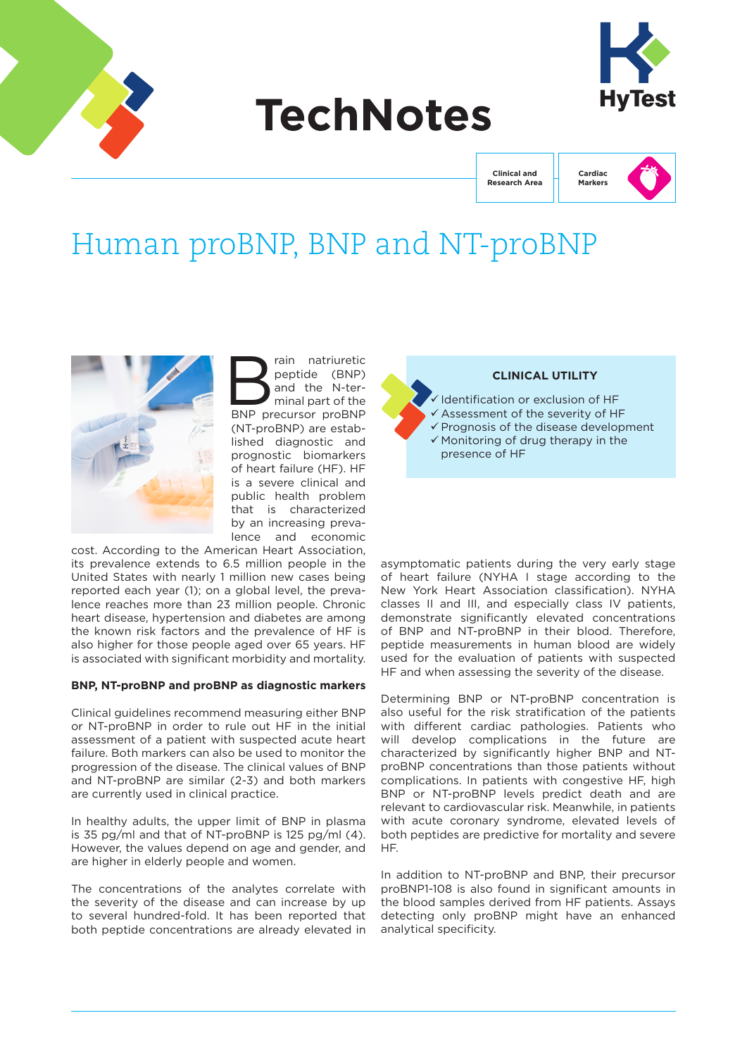

# **TechNotes**



**Clinical and Research Area**



## Human proBNP, BNP and NT-proBNP



rain natriuretic<br>peptide (BNP)<br>and the N-ter-<br>minal part of the<br>BNP precursor proBNP peptide (BNP) and the N-terminal part of the BNP precursor proBNP (NT-proBNP) are established diagnostic and prognostic biomarkers of heart failure (HF). HF is a severe clinical and public health problem that is characterized by an increasing prevalence and economic

cost. According to the American Heart Association, its prevalence extends to 6.5 million people in the United States with nearly 1 million new cases being reported each year (1); on a global level, the prevalence reaches more than 23 million people. Chronic heart disease, hypertension and diabetes are among the known risk factors and the prevalence of HF is also higher for those people aged over 65 years. HF is associated with significant morbidity and mortality.

## **BNP, NT-proBNP and proBNP as diagnostic markers**

Clinical guidelines recommend measuring either BNP or NT-proBNP in order to rule out HF in the initial assessment of a patient with suspected acute heart failure. Both markers can also be used to monitor the progression of the disease. The clinical values of BNP and NT-proBNP are similar (2-3) and both markers are currently used in clinical practice.

In healthy adults, the upper limit of BNP in plasma is 35 pg/ml and that of NT-proBNP is 125 pg/ml (4). However, the values depend on age and gender, and are higher in elderly people and women.

The concentrations of the analytes correlate with the severity of the disease and can increase by up to several hundred-fold. It has been reported that both peptide concentrations are already elevated in



asymptomatic patients during the very early stage of heart failure (NYHA I stage according to the New York Heart Association classification). NYHA classes II and III, and especially class IV patients, demonstrate significantly elevated concentrations of BNP and NT-proBNP in their blood. Therefore, peptide measurements in human blood are widely used for the evaluation of patients with suspected HF and when assessing the severity of the disease.

Determining BNP or NT-proBNP concentration is also useful for the risk stratification of the patients with different cardiac pathologies. Patients who will develop complications in the future are characterized by significantly higher BNP and NTproBNP concentrations than those patients without complications. In patients with congestive HF, high BNP or NT-proBNP levels predict death and are relevant to cardiovascular risk. Meanwhile, in patients with acute coronary syndrome, elevated levels of both peptides are predictive for mortality and severe HF.

In addition to NT-proBNP and BNP, their precursor proBNP1-108 is also found in significant amounts in the blood samples derived from HF patients. Assays detecting only proBNP might have an enhanced analytical specificity.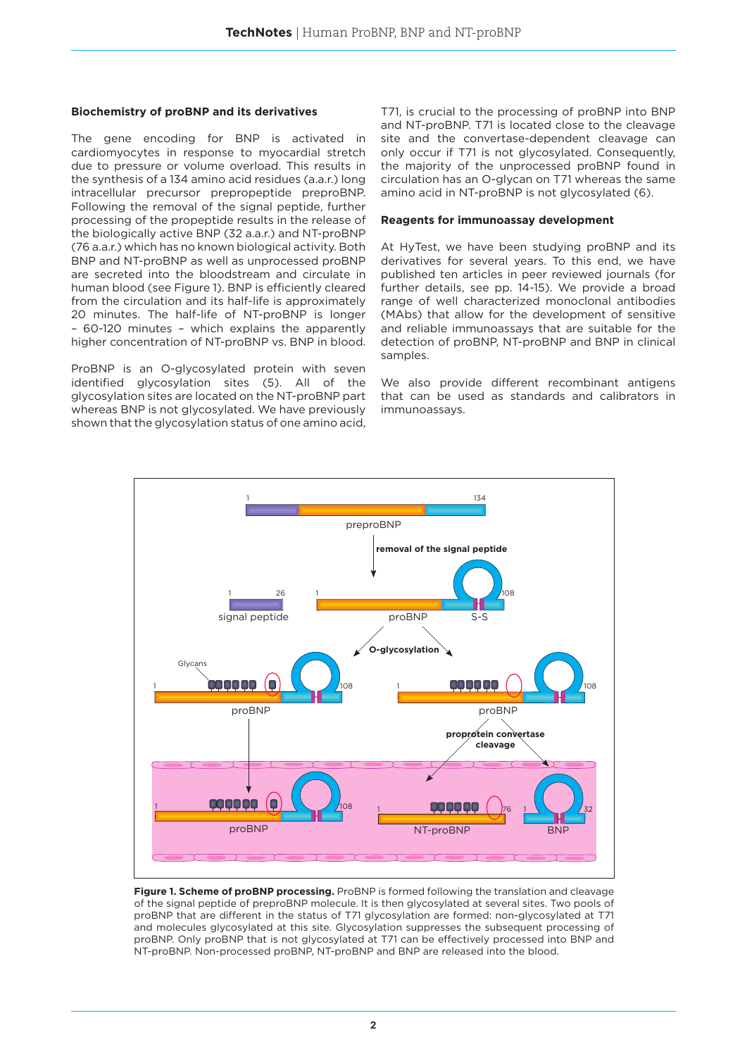#### **Biochemistry of proBNP and its derivatives**

The gene encoding for BNP is activated in cardiomyocytes in response to myocardial stretch due to pressure or volume overload. This results in the synthesis of a 134 amino acid residues (a.a.r.) long intracellular precursor prepropeptide preproBNP. Following the removal of the signal peptide, further processing of the propeptide results in the release of the biologically active BNP (32 a.a.r.) and NT-proBNP (76 a.a.r.) which has no known biological activity. Both BNP and NT-proBNP as well as unprocessed proBNP are secreted into the bloodstream and circulate in human blood (see Figure 1). BNP is efficiently cleared from the circulation and its half-life is approximately 20 minutes. The half-life of NT-proBNP is longer – 60-120 minutes – which explains the apparently higher concentration of NT-proBNP vs. BNP in blood.

ProBNP is an O-glycosylated protein with seven identified glycosylation sites (5). All of the glycosylation sites are located on the NT-proBNP part whereas BNP is not glycosylated. We have previously shown that the glycosylation status of one amino acid,

T71, is crucial to the processing of proBNP into BNP and NT-proBNP. T71 is located close to the cleavage site and the convertase-dependent cleavage can only occur if T71 is not glycosylated. Consequently, the majority of the unprocessed proBNP found in circulation has an O-glycan on T71 whereas the same amino acid in NT-proBNP is not glycosylated (6).

## **Reagents for immunoassay development**

At HyTest, we have been studying proBNP and its derivatives for several years. To this end, we have published ten articles in peer reviewed journals (for further details, see pp. 14-15). We provide a broad range of well characterized monoclonal antibodies (MAbs) that allow for the development of sensitive and reliable immunoassays that are suitable for the detection of proBNP, NT-proBNP and BNP in clinical samples

We also provide different recombinant antigens that can be used as standards and calibrators in immunoassays.



**Figure 1. Scheme of proBNP processing.** ProBNP is formed following the translation and cleavage of the signal peptide of preproBNP molecule. It is then glycosylated at several sites. Two pools of proBNP that are different in the status of T71 glycosylation are formed: non-glycosylated at T71 and molecules glycosylated at this site. Glycosylation suppresses the subsequent processing of proBNP. Only proBNP that is not glycosylated at T71 can be effectively processed into BNP and NT-proBNP. Non-processed proBNP, NT-proBNP and BNP are released into the blood.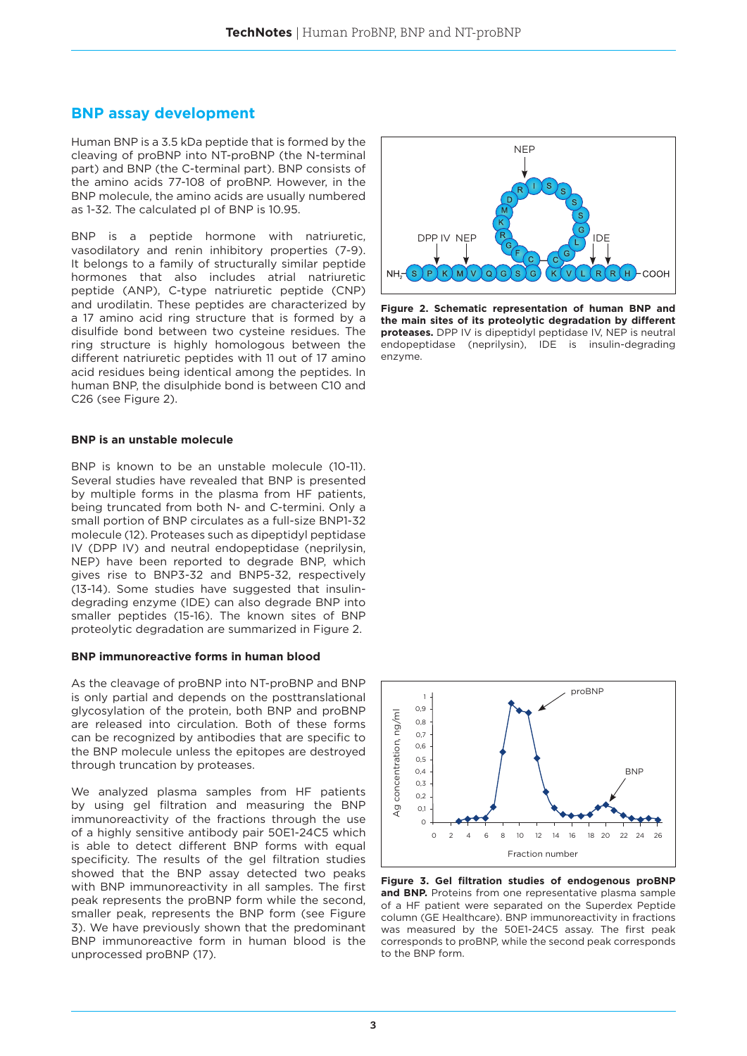## **BNP assay development**

Human BNP is a 3.5 kDa peptide that is formed by the cleaving of proBNP into NT-proBNP (the N-terminal part) and BNP (the C-terminal part). BNP consists of the amino acids 77-108 of proBNP. However, in the BNP molecule, the amino acids are usually numbered as 1-32. The calculated pI of BNP is 10.95.

BNP is a peptide hormone with natriuretic, vasodilatory and renin inhibitory properties (7-9). It belongs to a family of structurally similar peptide hormones that also includes atrial natriuretic peptide (ANP), C-type natriuretic peptide (CNP) and urodilatin. These peptides are characterized by a 17 amino acid ring structure that is formed by a disulfide bond between two cysteine residues. The ring structure is highly homologous between the different natriuretic peptides with 11 out of 17 amino acid residues being identical among the peptides. In human BNP, the disulphide bond is between C10 and C26 (see Figure 2).

#### **BNP is an unstable molecule**

BNP is known to be an unstable molecule (10-11). Several studies have revealed that BNP is presented by multiple forms in the plasma from HF patients, being truncated from both N- and C-termini. Only a small portion of BNP circulates as a full-size BNP1-32 molecule (12). Proteases such as dipeptidyl peptidase IV (DPP IV) and neutral endopeptidase (neprilysin, NEP) have been reported to degrade BNP, which gives rise to BNP3-32 and BNP5-32, respectively (13-14). Some studies have suggested that insulindegrading enzyme (IDE) can also degrade BNP into smaller peptides (15-16). The known sites of BNP proteolytic degradation are summarized in Figure 2.

#### **BNP immunoreactive forms in human blood**

As the cleavage of proBNP into NT-proBNP and BNP is only partial and depends on the posttranslational glycosylation of the protein, both BNP and proBNP are released into circulation. Both of these forms can be recognized by antibodies that are specific to the BNP molecule unless the epitopes are destroyed through truncation by proteases.

We analyzed plasma samples from HF patients by using gel filtration and measuring the BNP immunoreactivity of the fractions through the use of a highly sensitive antibody pair 50E1-24C5 which is able to detect different BNP forms with equal specificity. The results of the gel filtration studies showed that the BNP assay detected two peaks with BNP immunoreactivity in all samples. The first peak represents the proBNP form while the second, smaller peak, represents the BNP form (see Figure 3). We have previously shown that the predominant BNP immunoreactive form in human blood is the unprocessed proBNP (17).



**Figure 2. Schematic representation of human BNP and the main sites of its proteolytic degradation by different proteases.** DPP IV is dipeptidyl peptidase IV, NEP is neutral endopeptidase (neprilysin), IDE is insulin-degrading enzyme.



**Figure 3. Gel filtration studies of endogenous proBNP**  and BNP. Proteins from one representative plasma sample of a HF patient were separated on the Superdex Peptide column (GE Healthcare). BNP immunoreactivity in fractions was measured by the 50E1-24C5 assay. The first peak corresponds to proBNP, while the second peak corresponds to the BNP form.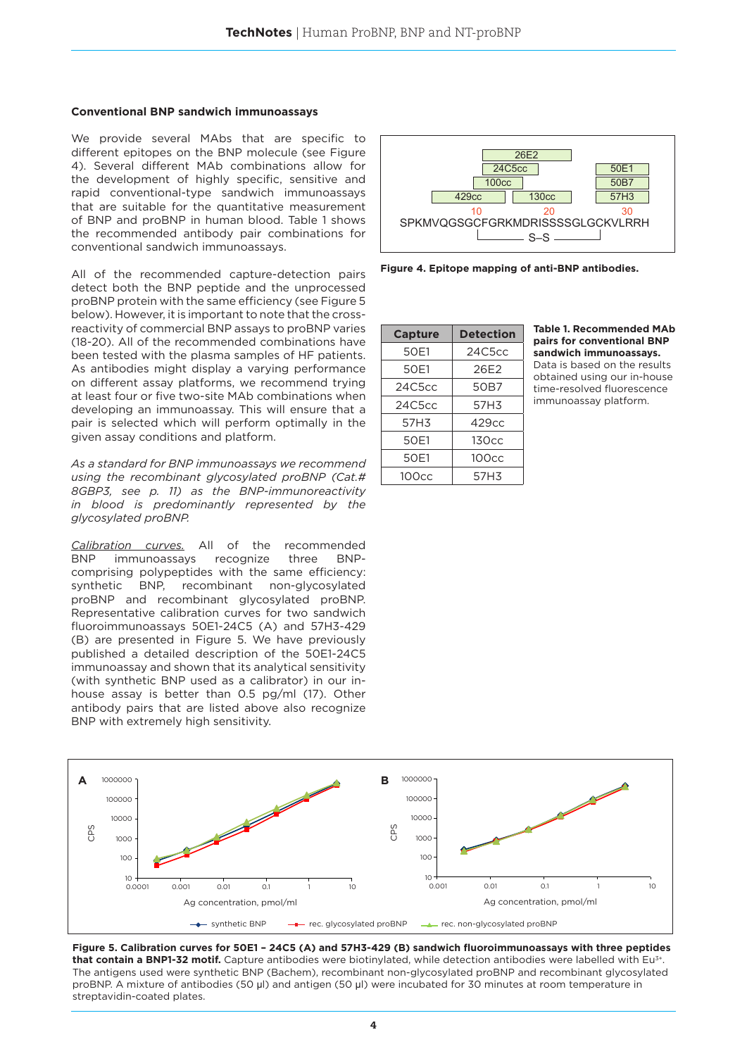#### **Conventional BNP sandwich immunoassays**

We provide several MAbs that are specific to different epitopes on the BNP molecule (see Figure 4). Several different MAb combinations allow for the development of highly specific, sensitive and rapid conventional-type sandwich immunoassays that are suitable for the quantitative measurement of BNP and proBNP in human blood. Table 1 shows the recommended antibody pair combinations for conventional sandwich immunoassays.

All of the recommended capture-detection pairs detect both the BNP peptide and the unprocessed proBNP protein with the same efficiency (see Figure 5 below). However, it is important to note that the crossreactivity of commercial BNP assays to proBNP varies (18-20). All of the recommended combinations have been tested with the plasma samples of HF patients. As antibodies might display a varying performance on different assay platforms, we recommend trying at least four or five two-site MAb combinations when developing an immunoassay. This will ensure that a pair is selected which will perform optimally in the given assay conditions and platform.

*As a standard for BNP immunoassays we recommend using the recombinant glycosylated proBNP (Cat.# 8GBP3, see p. 11) as the BNP-immunoreactivity in blood is predominantly represented by the glycosylated proBNP.*

*Calibration curves.* All of the recommended BNP immunoassays recognize three BNPcomprising polypeptides with the same efficiency: synthetic BNP, recombinant non-glycosylated proBNP and recombinant glycosylated proBNP. Representative calibration curves for two sandwich fluoroimmunoassays 50E1-24C5 (A) and 57H3-429 (B) are presented in Figure 5. We have previously published a detailed description of the 50E1-24C5 immunoassay and shown that its analytical sensitivity (with synthetic BNP used as a calibrator) in our inhouse assay is better than 0.5 pg/ml (17). Other antibody pairs that are listed above also recognize BNP with extremely high sensitivity.



**Figure 4. Epitope mapping of anti-BNP antibodies.** 

| <b>Capture</b> | <b>Detection</b>  |
|----------------|-------------------|
| 50E1           | 24C5cc            |
| 50E1           | 26E2              |
| 24C5cc         | 50B7              |
| 24C5cc         | 57H3              |
| 57H3           | 429cc             |
| 50E1           | 130cc             |
| 50E1           | 100 <sub>cc</sub> |
| 100cc          | 57H3              |

**Table 1. Recommended MAb pairs for conventional BNP sandwich immunoassays.** Data is based on the results obtained using our in-house time-resolved fluorescence

immunoassay platform.



**Figure 5. Calibration curves for 50E1 – 24C5 (A) and 57H3-429 (B) sandwich fluoroimmunoassays with three peptides**  that contain a BNP1-32 motif. Capture antibodies were biotinylated, while detection antibodies were labelled with Eu<sup>3+</sup> The antigens used were synthetic BNP (Bachem), recombinant non-glycosylated proBNP and recombinant glycosylated proBNP. A mixture of antibodies (50 μl) and antigen (50 μl) were incubated for 30 minutes at room temperature in streptavidin-coated plates.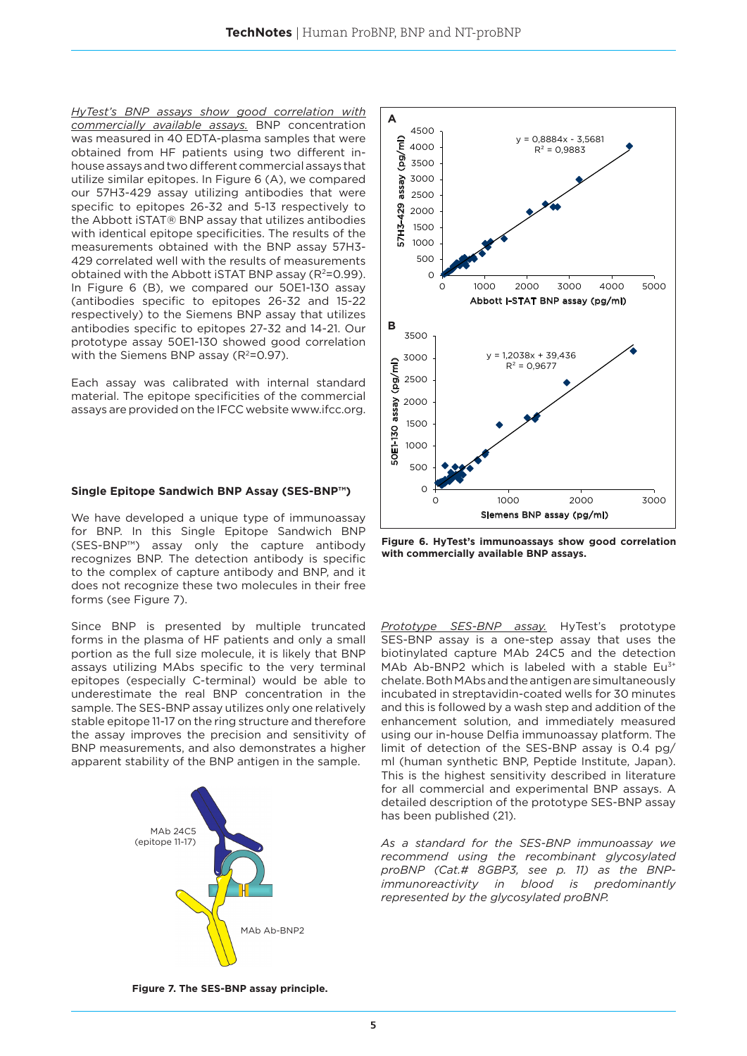*HyTest's BNP assays show good correlation with commercially available assays.* BNP concentration was measured in 40 EDTA-plasma samples that were obtained from HF patients using two different inhouse assays and two different commercial assays that utilize similar epitopes. In Figure 6 (A), we compared our 57H3-429 assay utilizing antibodies that were specific to epitopes 26-32 and 5-13 respectively to the Abbott iSTAT® BNP assay that utilizes antibodies with identical epitope specificities. The results of the measurements obtained with the BNP assay 57H3- 429 correlated well with the results of measurements obtained with the Abbott iSTAT BNP assay  $(R^2=0.99)$ . In Figure 6 (B), we compared our 50E1-130 assay (antibodies specific to epitopes 26-32 and 15-22 respectively) to the Siemens BNP assay that utilizes antibodies specific to epitopes 27-32 and 14-21. Our prototype assay 50E1-130 showed good correlation with the Siemens BNP assay  $(R^2=0.97)$ .

Each assay was calibrated with internal standard material. The epitope specificities of the commercial assays are provided on the IFCC website www.ifcc.org.

#### **Single Epitope Sandwich BNP Assay (SES-BNP™)**

We have developed a unique type of immunoassay for BNP. In this Single Epitope Sandwich BNP (SES-BNP™) assay only the capture antibody recognizes BNP. The detection antibody is specific to the complex of capture antibody and BNP, and it does not recognize these two molecules in their free forms (see Figure 7).

Since BNP is presented by multiple truncated forms in the plasma of HF patients and only a small portion as the full size molecule, it is likely that BNP assays utilizing MAbs specific to the very terminal epitopes (especially C-terminal) would be able to underestimate the real BNP concentration in the sample. The SES-BNP assay utilizes only one relatively stable epitope 11-17 on the ring structure and therefore the assay improves the precision and sensitivity of BNP measurements, and also demonstrates a higher apparent stability of the BNP antigen in the sample.



**A** 4500 ε  $= 0,8884x - 3,5681$ 57H3-429 assay (pg/ml) 4000  $R^2 = 0.9883$ ğq 3500 assay 3000 2500 429 2000 57H3-1500 1000 500  $\Omega$ 0 1000 2000 3000 4000 5000 Abbott i-STAT BNP assay (pg/ml) **B**3500  $y = 1,2038x + 39,436$ 3000  $(m/gq)$ 50E1-130 assay (pg/ml)  $R^2 = 0.9677$ 2500 assay 2000 1500 50E1-130  $1000$  $500$  $\mathsf{O}$ 0 1000 2000 3000 Siemens BNP assay (pg/ml)

**Figure 6. HyTest's immunoassays show good correlation with commercially available BNP assays.** 

*Prototype SES-BNP assay.* HyTest's prototype SES-BNP assay is a one-step assay that uses the biotinylated capture MAb 24C5 and the detection MAb Ab-BNP2 which is labeled with a stable Eu<sup>3+</sup> chelate. Both MAbs and the antigen are simultaneously incubated in streptavidin-coated wells for 30 minutes and this is followed by a wash step and addition of the enhancement solution, and immediately measured using our in-house Delfia immunoassay platform. The limit of detection of the SES-BNP assay is 0.4 pg/ ml (human synthetic BNP, Peptide Institute, Japan). This is the highest sensitivity described in literature for all commercial and experimental BNP assays. A detailed description of the prototype SES-BNP assay has been published (21).

*As a standard for the SES-BNP immunoassay we recommend using the recombinant glycosylated proBNP (Cat.# 8GBP3, see p. 11) as the BNPimmunoreactivity in blood is predominantly represented by the glycosylated proBNP.*

**Figure 7. The SES-BNP assay principle.**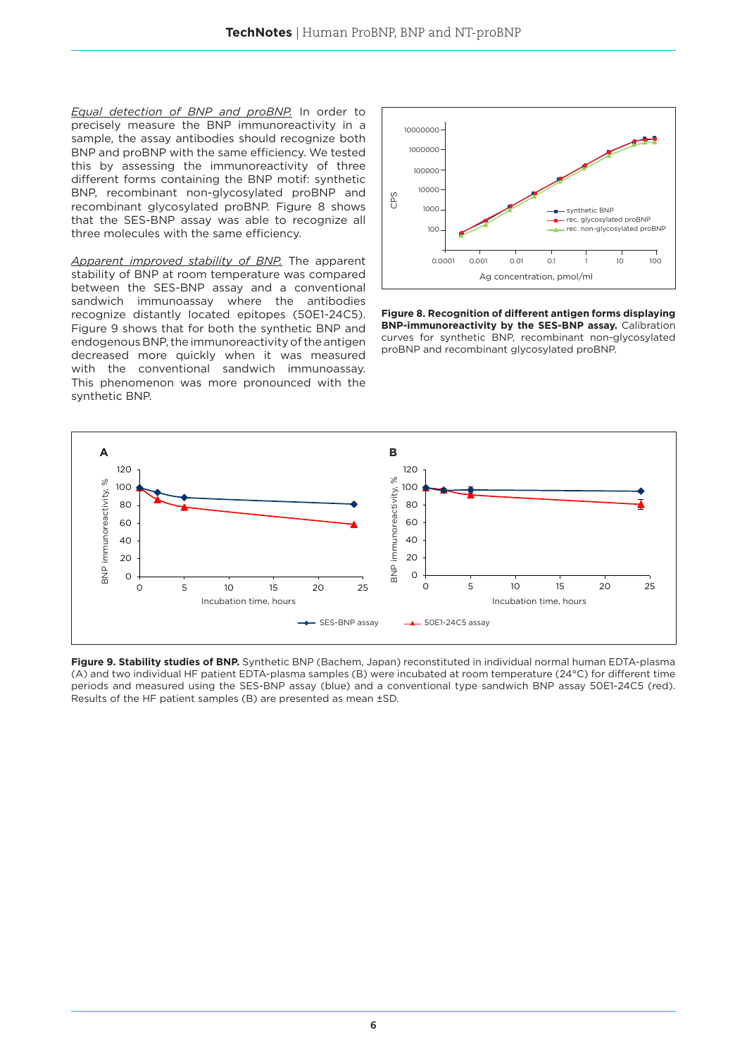*Equal detection of BNP and proBNP.* In order to precisely measure the BNP immunoreactivity in a sample, the assay antibodies should recognize both BNP and proBNP with the same efficiency. We tested this by assessing the immunoreactivity of three different forms containing the BNP motif: synthetic BNP, recombinant non-glycosylated proBNP and recombinant glycosylated proBNP. Figure 8 shows that the SES-BNP assay was able to recognize all three molecules with the same efficiency.

*Apparent improved stability of BNP.* The apparent stability of BNP at room temperature was compared between the SES-BNP assay and a conventional sandwich immunoassay where the antibodies recognize distantly located epitopes (50E1-24C5). Figure 9 shows that for both the synthetic BNP and endogenous BNP, the immunoreactivity of the antigen decreased more quickly when it was measured with the conventional sandwich immunoassay. This phenomenon was more pronounced with the synthetic BNP.



**Figure 8. Recognition of different antigen forms displaying BNP-immunoreactivity by the SES-BNP assay.** Calibration curves for synthetic BNP, recombinant non-glycosylated proBNP and recombinant glycosylated proBNP.



**Figure 9. Stability studies of BNP.** Synthetic BNP (Bachem, Japan) reconstituted in individual normal human EDTA-plasma (A) and two individual HF patient EDTA-plasma samples (B) were incubated at room temperature (24°C) for different time periods and measured using the SES-BNP assay (blue) and a conventional type sandwich BNP assay 50E1-24C5 (red). Results of the HF patient samples (B) are presented as mean ±SD.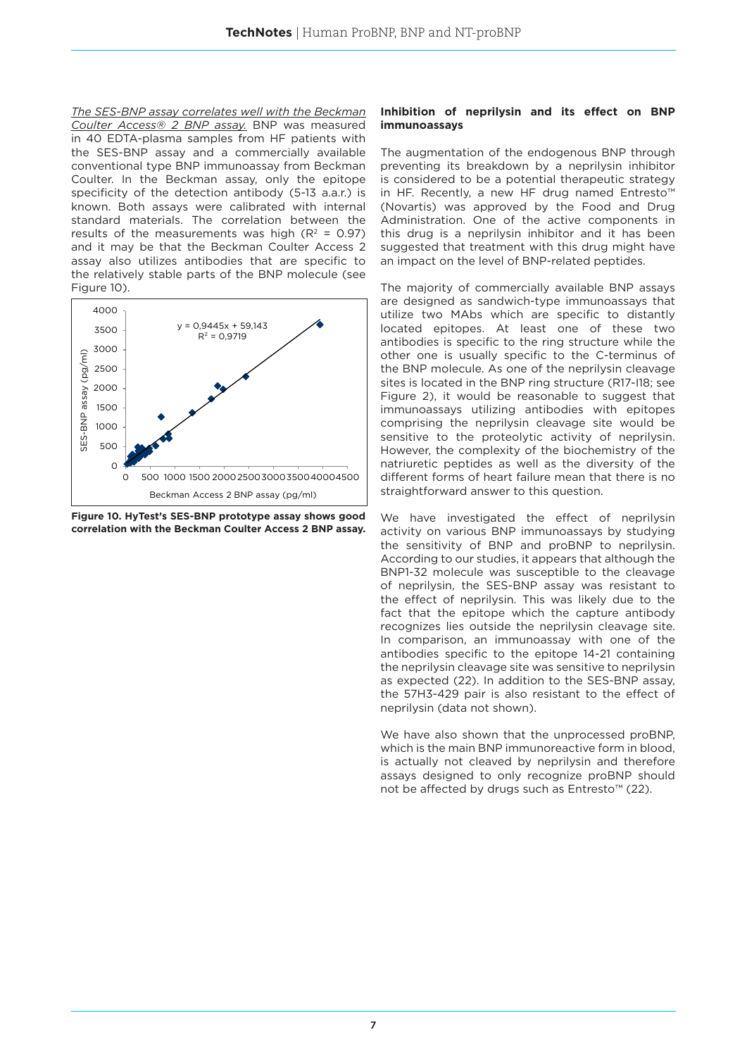*The SES-BNP assay correlates well with the Beckman Coulter Access® 2 BNP assay.* BNP was measured in 40 EDTA-plasma samples from HF patients with the SES-BNP assay and a commercially available conventional type BNP immunoassay from Beckman Coulter. In the Beckman assay, only the epitope specificity of the detection antibody (5-13 a.a.r.) is known. Both assays were calibrated with internal standard materials. The correlation between the results of the measurements was high  $(R^2 = 0.97)$ and it may be that the Beckman Coulter Access 2 assay also utilizes antibodies that are specific to the relatively stable parts of the BNP molecule (see Figure 10).



**Figure 10. HyTest's SES-BNP prototype assay shows good correlation with the Beckman Coulter Access 2 BNP assay.**

#### **Inhibition of neprilysin and its effect on BNP immunoassays**

The augmentation of the endogenous BNP through preventing its breakdown by a neprilysin inhibitor is considered to be a potential therapeutic strategy in HF. Recently, a new HF drug named Entresto™ (Novartis) was approved by the Food and Drug Administration. One of the active components in this drug is a neprilysin inhibitor and it has been suggested that treatment with this drug might have an impact on the level of BNP-related peptides.

The majority of commercially available BNP assays are designed as sandwich-type immunoassays that utilize two MAbs which are specific to distantly located epitopes. At least one of these two antibodies is specific to the ring structure while the other one is usually specific to the C-terminus of the BNP molecule. As one of the neprilysin cleavage sites is located in the BNP ring structure (R17-I18; see Figure 2), it would be reasonable to suggest that immunoassays utilizing antibodies with epitopes comprising the neprilysin cleavage site would be sensitive to the proteolytic activity of neprilysin. However, the complexity of the biochemistry of the natriuretic peptides as well as the diversity of the different forms of heart failure mean that there is no straightforward answer to this question.

We have investigated the effect of neprilysin activity on various BNP immunoassays by studying the sensitivity of BNP and proBNP to neprilysin. According to our studies, it appears that although the BNP1-32 molecule was susceptible to the cleavage of neprilysin, the SES-BNP assay was resistant to the effect of neprilysin. This was likely due to the fact that the epitope which the capture antibody recognizes lies outside the neprilysin cleavage site. In comparison, an immunoassay with one of the antibodies specific to the epitope 14-21 containing the neprilysin cleavage site was sensitive to neprilysin as expected (22). In addition to the SES-BNP assay, the 57H3-429 pair is also resistant to the effect of neprilysin (data not shown).

We have also shown that the unprocessed proBNP, which is the main BNP immunoreactive form in blood, is actually not cleaved by neprilysin and therefore assays designed to only recognize proBNP should not be affected by drugs such as Entresto™ (22).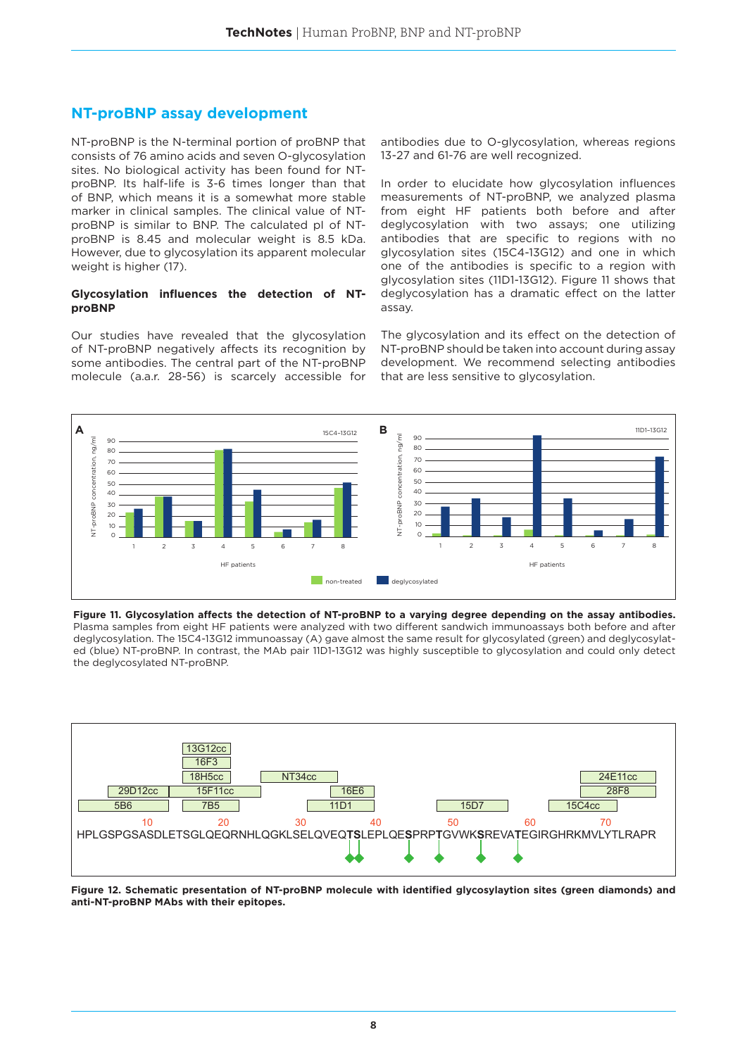## **NT-proBNP assay development**

NT-proBNP is the N-terminal portion of proBNP that consists of 76 amino acids and seven O-glycosylation sites. No biological activity has been found for NTproBNP. Its half-life is 3-6 times longer than that of BNP, which means it is a somewhat more stable marker in clinical samples. The clinical value of NTproBNP is similar to BNP. The calculated pI of NTproBNP is 8.45 and molecular weight is 8.5 kDa. However, due to glycosylation its apparent molecular weight is higher (17).

## **Glycosylation influences the detection of NTproBNP**

Our studies have revealed that the glycosylation of NT-proBNP negatively affects its recognition by some antibodies. The central part of the NT-proBNP molecule (a.a.r. 28-56) is scarcely accessible for antibodies due to O-glycosylation, whereas regions 13-27 and 61-76 are well recognized.

In order to elucidate how glycosylation influences measurements of NT-proBNP, we analyzed plasma from eight HF patients both before and after deglycosylation with two assays; one utilizing antibodies that are specific to regions with no glycosylation sites (15C4-13G12) and one in which one of the antibodies is specific to a region with glycosylation sites (11D1-13G12). Figure 11 shows that deglycosylation has a dramatic effect on the latter assay.

The glycosylation and its effect on the detection of NT-proBNP should be taken into account during assay development. We recommend selecting antibodies that are less sensitive to glycosylation.



Figure 11. Glycosylation affects the detection of NT-proBNP to a varying degree depending on the assay antibodies. Plasma samples from eight HF patients were analyzed with two different sandwich immunoassays both before and after deglycosylation. The 15C4-13G12 immunoassay (A) gave almost the same result for glycosylated (green) and deglycosylat-70 ed (blue) NT-proBNP. In contrast, the MAb pair 11D1-13G12 was highly susceptible to glycosylation and could only detect the deglycosylated NT-proBNP. 50 NT-probability<br>NT-probability<br>NT-probability



**Figure 12. Schematic presentation of NT-proBNP molecule with identified glycosylaytion sites (green diamonds) and**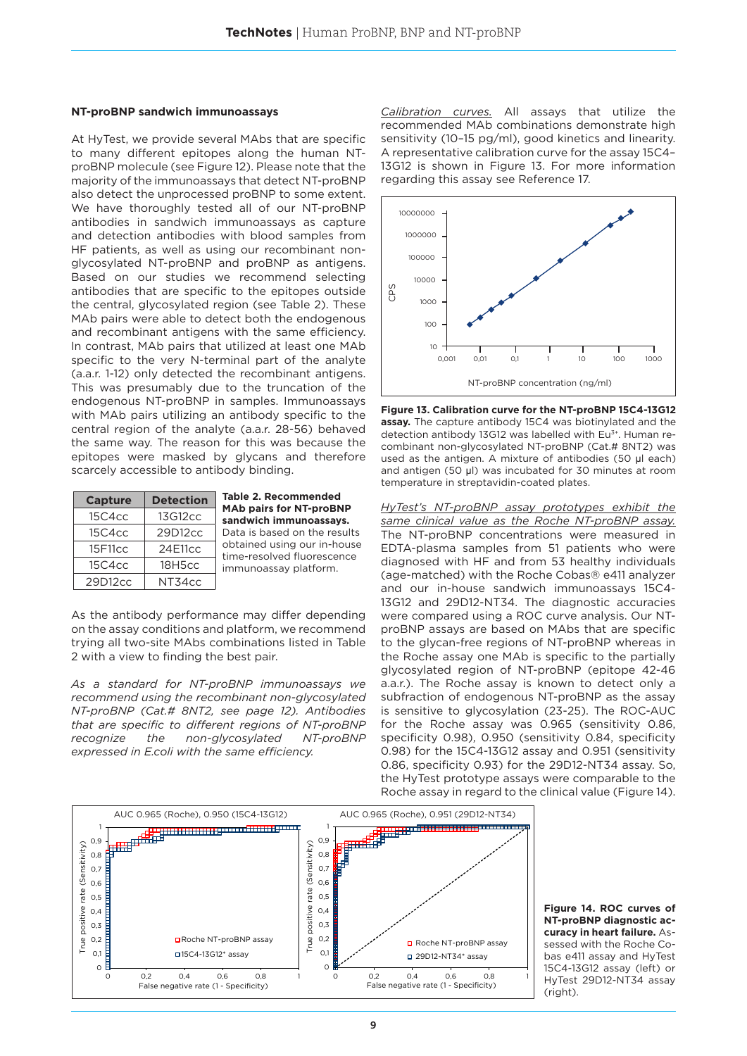#### **NT-proBNP sandwich immunoassays**

At HyTest, we provide several MAbs that are specific to many different epitopes along the human NTproBNP molecule (see Figure 12). Please note that the majority of the immunoassays that detect NT-proBNP also detect the unprocessed proBNP to some extent. We have thoroughly tested all of our NT-proBNP antibodies in sandwich immunoassays as capture and detection antibodies with blood samples from HF patients, as well as using our recombinant nonglycosylated NT-proBNP and proBNP as antigens. Based on our studies we recommend selecting antibodies that are specific to the epitopes outside the central, glycosylated region (see Table 2). These MAb pairs were able to detect both the endogenous and recombinant antigens with the same efficiency. In contrast, MAb pairs that utilized at least one MAb specific to the very N-terminal part of the analyte (a.a.r. 1-12) only detected the recombinant antigens. This was presumably due to the truncation of the endogenous NT-proBNP in samples. Immunoassays with MAb pairs utilizing an antibody specific to the central region of the analyte (a.a.r. 28-56) behaved the same way. The reason for this was because the epitopes were masked by glycans and therefore scarcely accessible to antibody binding.

| <b>Capture</b> | <b>Detection</b> |
|----------------|------------------|
| 15C4cc         | 13G12cc          |
| 15C4cc         | 29D12cc          |
| 15F11cc        | 24E11cc          |
| 15C4cc         | 18H5cc           |
| 29D12cc        | NT34cc           |

**Table 2. Recommended MAb pairs for NT-proBNP sandwich immunoassays.** Data is based on the results obtained using our in-house time-resolved fluorescence immunoassay platform.

As the antibody performance may differ depending on the assay conditions and platform, we recommend trying all two-site MAbs combinations listed in Table 2 with a view to finding the best pair.

*As a standard for NT-proBNP immunoassays we recommend using the recombinant non-glycosylated NT-proBNP (Cat.# 8NT2, see page 12). Antibodies that are specific to different regions of NT-proBNP recognize the non-glycosylated NT-proBNP expressed in E.coli with the same efficiency.*

*Calibration curves.* All assays that utilize the recommended MAb combinations demonstrate high sensitivity (10–15 pg/ml), good kinetics and linearity. A representative calibration curve for the assay 15C4– 13G12 is shown in Figure 13. For more information regarding this assay see Reference 17.



**Figure 13. Calibration curve for the NT-proBNP 15C4-13G12 assay.** The capture antibody 15C4 was biotinylated and the detection antibody 13G12 was labelled with Eu<sup>3+</sup>. Human recombinant non-glycosylated NT-proBNP (Cat.# 8NT2) was used as the antigen. A mixture of antibodies (50 μl each) and antigen (50 μl) was incubated for 30 minutes at room temperature in streptavidin-coated plates.

*HyTest's NT-proBNP assay prototypes exhibit the same clinical value as the Roche NT-proBNP assay.*  The NT-proBNP concentrations were measured in EDTA-plasma samples from 51 patients who were diagnosed with HF and from 53 healthy individuals (age-matched) with the Roche Cobas® e411 analyzer and our in-house sandwich immunoassays 15C4- 13G12 and 29D12-NT34. The diagnostic accuracies were compared using a ROC curve analysis. Our NTproBNP assays are based on MAbs that are specific to the glycan-free regions of NT-proBNP whereas in the Roche assay one MAb is specific to the partially glycosylated region of NT-proBNP (epitope 42-46 a.a.r.). The Roche assay is known to detect only a subfraction of endogenous NT-proBNP as the assay is sensitive to glycosylation (23-25). The ROC-AUC for the Roche assay was 0.965 (sensitivity 0.86, specificity 0.98), 0.950 (sensitivity 0.84, specificity 0.98) for the 15C4-13G12 assay and 0.951 (sensitivity 0.86, specificity 0.93) for the 29D12-NT34 assay. So, the HyTest prototype assays were comparable to the Roche assay in regard to the clinical value (Figure 14).



**Figure 14. ROC curves of NT-proBNP diagnostic accuracy in heart failure.** Assessed with the Roche Cobas e411 assay and HyTest 15C4-13G12 assay (left) or HyTest 29D12-NT34 assay (right).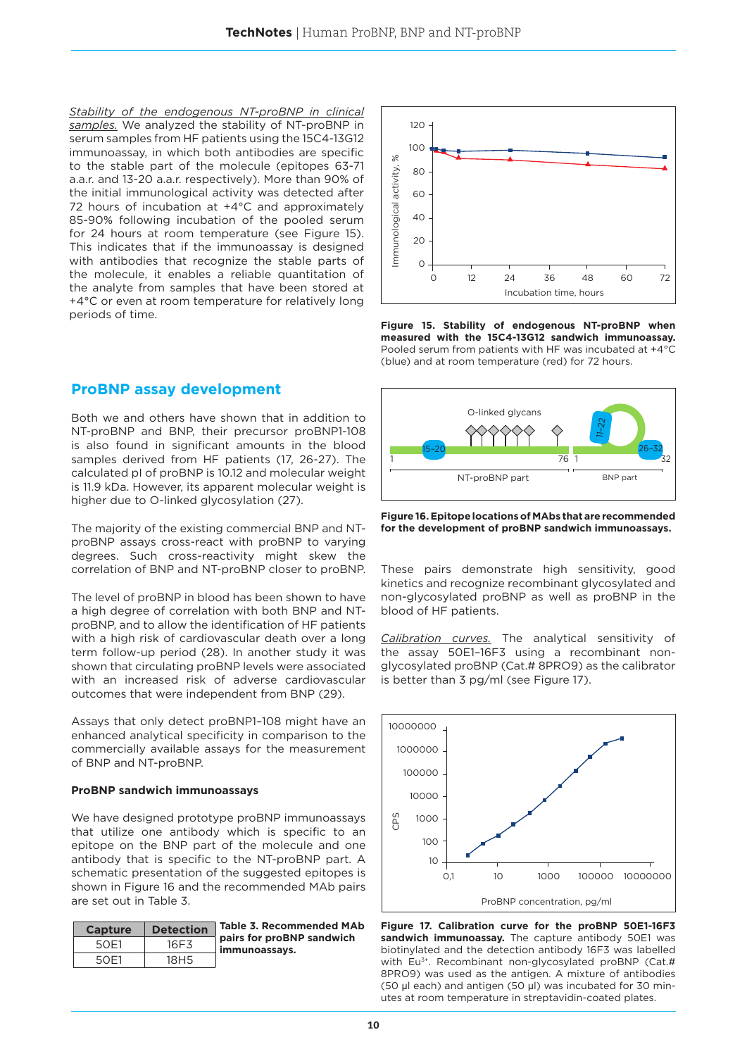*Stability of the endogenous NT-proBNP in clinical samples.* We analyzed the stability of NT-proBNP in serum samples from HF patients using the 15C4-13G12 immunoassay, in which both antibodies are specific to the stable part of the molecule (epitopes 63-71 a.a.r. and 13-20 a.a.r. respectively). More than 90% of the initial immunological activity was detected after 72 hours of incubation at +4°C and approximately 85-90% following incubation of the pooled serum for 24 hours at room temperature (see Figure 15). This indicates that if the immunoassay is designed with antibodies that recognize the stable parts of the molecule, it enables a reliable quantitation of the analyte from samples that have been stored at +4°C or even at room temperature for relatively long periods of time.

## **ProBNP assay development**

Both we and others have shown that in addition to NT-proBNP and BNP, their precursor proBNP1-108 is also found in significant amounts in the blood samples derived from HF patients (17, 26-27). The calculated pI of proBNP is 10.12 and molecular weight is 11.9 kDa. However, its apparent molecular weight is higher due to O-linked glycosylation (27).

The majority of the existing commercial BNP and NTproBNP assays cross-react with proBNP to varying degrees. Such cross-reactivity might skew the correlation of BNP and NT-proBNP closer to proBNP.

The level of proBNP in blood has been shown to have a high degree of correlation with both BNP and NTproBNP, and to allow the identification of HF patients with a high risk of cardiovascular death over a long term follow-up period (28). In another study it was shown that circulating proBNP levels were associated with an increased risk of adverse cardiovascular outcomes that were independent from BNP (29).

Assays that only detect proBNP1–108 might have an enhanced analytical specificity in comparison to the commercially available assays for the measurement of BNP and NT-proBNP.

## **ProBNP sandwich immunoassays**

We have designed prototype proBNP immunoassays that utilize one antibody which is specific to an epitope on the BNP part of the molecule and one antibody that is specific to the NT-proBNP part. A schematic presentation of the suggested epitopes is shown in Figure 16 and the recommended MAb pairs are set out in Table 3.

| <b>Capture</b> | <b>Detection</b> | <b>Table 3. Recommended MAb</b>            |
|----------------|------------------|--------------------------------------------|
| 50F1           | 16F3             | pairs for proBNP sandwich<br>immunoassays. |
| 50F1           | 18H <sub>5</sub> |                                            |



**Figure 15. Stability of endogenous NT-proBNP when measured with the 15C4-13G12 sandwich immunoassay.**  Pooled serum from patients with HF was incubated at +4°C (blue) and at room temperature (red) for 72 hours.



**Figure 16. Epitope locations of MAbs that are recommended for the development of proBNP sandwich immunoassays.**

These pairs demonstrate high sensitivity, good kinetics and recognize recombinant glycosylated and non-glycosylated proBNP as well as proBNP in the blood of HF patients.

*Calibration curves.* The analytical sensitivity of the assay 50E1–16F3 using a recombinant nonglycosylated proBNP (Cat.# 8PRO9) as the calibrator is better than 3 pg/ml (see Figure 17).



**Figure 17. Calibration curve for the proBNP 50E1-16F3 sandwich immunoassay.** The capture antibody 50E1 was biotinylated and the detection antibody 16F3 was labelled with Eu<sup>3+</sup>. Recombinant non-glycosylated proBNP (Cat.# 8PRO9) was used as the antigen. A mixture of antibodies (50 μl each) and antigen (50 μl) was incubated for 30 minutes at room temperature in streptavidin-coated plates.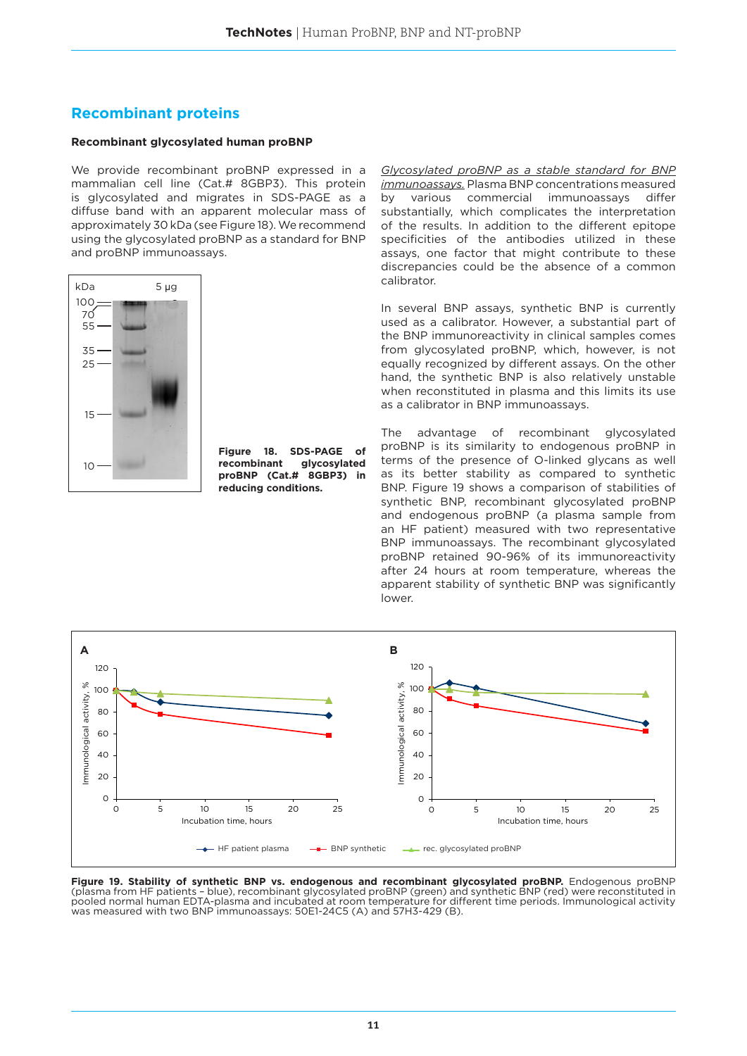## **Recombinant proteins**

## **Recombinant glycosylated human proBNP**

We provide recombinant proBNP expressed in a mammalian cell line (Cat.# 8GBP3). This protein is glycosylated and migrates in SDS-PAGE as a diffuse band with an apparent molecular mass of approximately 30 kDa (see Figure 18). We recommend using the glycosylated proBNP as a standard for BNP and proBNP immunoassays.



**Figure 18. SDS-PAGE of recombinant glycosylated proBNP (Cat.# 8GBP3) in reducing conditions.**

*Glycosylated proBNP as a stable standard for BNP immunoassays.* Plasma BNP concentrations measured by various commercial immunoassays differ substantially, which complicates the interpretation of the results. In addition to the different epitope specificities of the antibodies utilized in these assays, one factor that might contribute to these discrepancies could be the absence of a common calibrator.

In several BNP assays, synthetic BNP is currently used as a calibrator. However, a substantial part of the BNP immunoreactivity in clinical samples comes from glycosylated proBNP, which, however, is not equally recognized by different assays. On the other hand, the synthetic BNP is also relatively unstable when reconstituted in plasma and this limits its use as a calibrator in BNP immunoassays.

The advantage of recombinant glycosylated proBNP is its similarity to endogenous proBNP in terms of the presence of O-linked glycans as well as its better stability as compared to synthetic BNP. Figure 19 shows a comparison of stabilities of synthetic BNP, recombinant glycosylated proBNP and endogenous proBNP (a plasma sample from an HF patient) measured with two representative BNP immunoassays. The recombinant glycosylated proBNP retained 90-96% of its immunoreactivity after 24 hours at room temperature, whereas the apparent stability of synthetic BNP was significantly lower.



**Figure 19. Stability of synthetic BNP vs. endogenous and recombinant glycosylated proBNP.** Endogenous proBNP (plasma from HF patients – blue), recombinant glycosylated proBNP (green) and synthetic BNP (red) were reconstituted in pooled normal human EDTA-plasma and incubated at room temperature for different time periods. Immunological activity was measured with two BNP immunoassays: 50E1-24C5 (A) and 57H3-429 (B).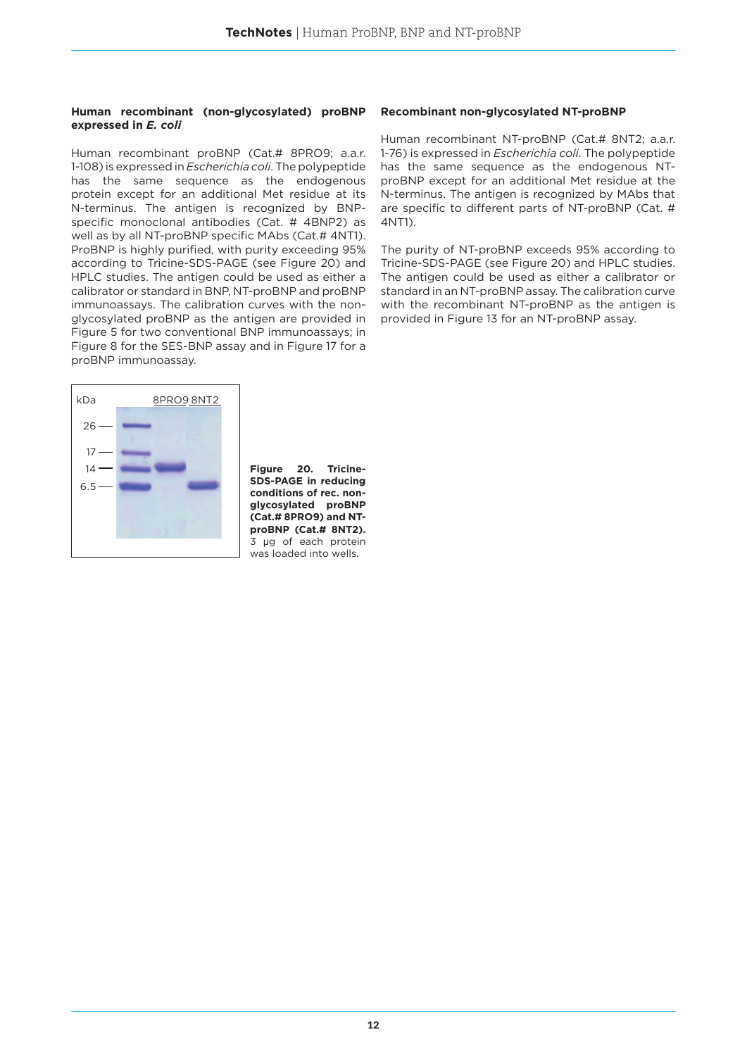#### **Human recombinant (non-glycosylated) proBNP expressed in** *E. coli*

Human recombinant proBNP (Cat.# 8PRO9; a.a.r. 1-108) is expressed in *Escherichia coli*. The polypeptide has the same sequence as the endogenous protein except for an additional Met residue at its N-terminus. The antigen is recognized by BNPspecific monoclonal antibodies (Cat. # 4BNP2) as well as by all NT-proBNP specific MAbs (Cat.# 4NT1). ProBNP is highly purified, with purity exceeding 95% according to Tricine-SDS-PAGE (see Figure 20) and HPLC studies. The antigen could be used as either a calibrator or standard in BNP, NT-proBNP and proBNP immunoassays. The calibration curves with the nonglycosylated proBNP as the antigen are provided in Figure 5 for two conventional BNP immunoassays; in Figure 8 for the SES-BNP assay and in Figure 17 for a proBNP immunoassay.



**Figure 20. Tricine-SDS-PAGE in reducing conditions of rec. nonglycosylated proBNP (Cat.# 8PRO9) and NTproBNP (Cat.# 8NT2).** 3 μg of each protein was loaded into wells.

## **Recombinant non-glycosylated NT-proBNP**

Human recombinant NT-proBNP (Cat.# 8NT2; a.a.r. 1-76) is expressed in *Escherichia coli*. The polypeptide has the same sequence as the endogenous NTproBNP except for an additional Met residue at the N-terminus. The antigen is recognized by MAbs that are specific to different parts of NT-proBNP (Cat. # 4NT1).

The purity of NT-proBNP exceeds 95% according to Tricine-SDS-PAGE (see Figure 20) and HPLC studies. The antigen could be used as either a calibrator or standard in an NT-proBNP assay. The calibration curve with the recombinant NT-proBNP as the antigen is provided in Figure 13 for an NT-proBNP assay.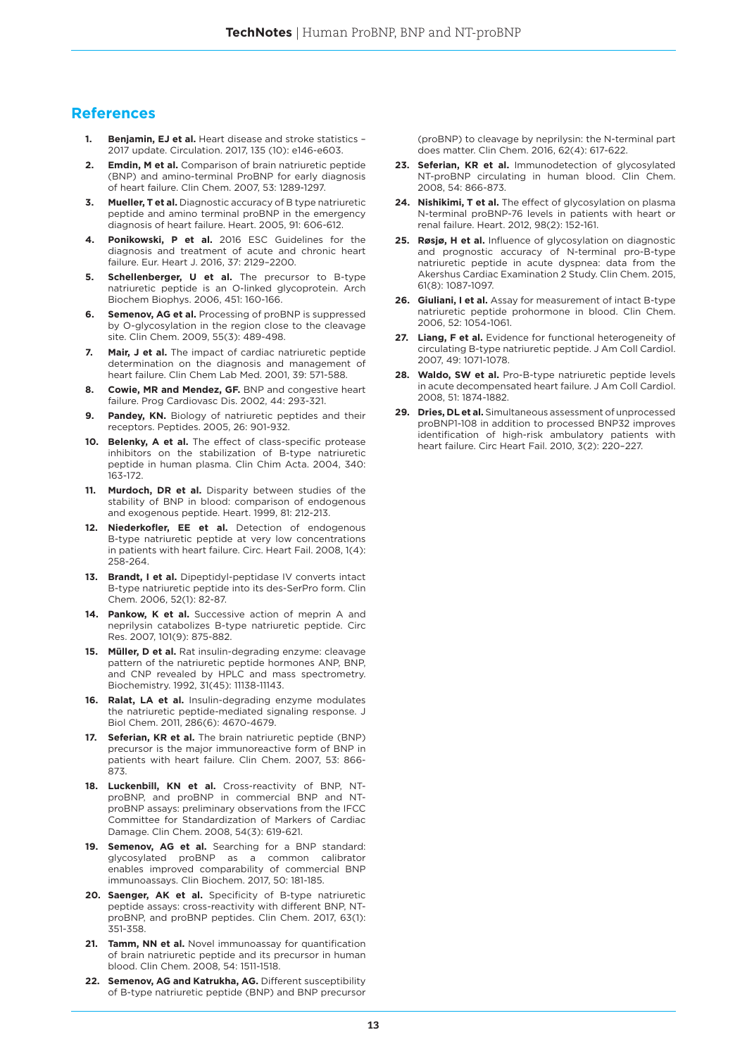## **References**

- **1. Benjamin, EJ et al.** Heart disease and stroke statistics 2017 update. Circulation. 2017, 135 (10): e146-e603.
- **2. Emdin, M et al.** Comparison of brain natriuretic peptide (BNP) and amino-terminal ProBNP for early diagnosis of heart failure. Clin Chem. 2007, 53: 1289-1297.
- **3. Mueller, T et al.** Diagnostic accuracy of B type natriuretic peptide and amino terminal proBNP in the emergency diagnosis of heart failure. Heart. 2005, 91: 606-612.
- **4. Ponikowski, P et al.** 2016 ESC Guidelines for the diagnosis and treatment of acute and chronic heart failure. Eur. Heart J. 2016, 37: 2129–2200.
- **5. Schellenberger, U et al.** The precursor to B-type natriuretic peptide is an O-linked glycoprotein. Arch Biochem Biophys. 2006, 451: 160-166.
- **6. Semenov, AG et al.** Processing of proBNP is suppressed by O-glycosylation in the region close to the cleavage site. Clin Chem. 2009, 55(3): 489-498.
- **7. Mair, J et al.** The impact of cardiac natriuretic peptide determination on the diagnosis and management of heart failure. Clin Chem Lab Med. 2001, 39: 571-588.
- **8. Cowie, MR and Mendez, GF.** BNP and congestive heart failure. Prog Cardiovasc Dis. 2002, 44: 293-321.
- **9. Pandey, KN.** Biology of natriuretic peptides and their receptors. Peptides. 2005, 26: 901-932.
- **10. Belenky, A et al.** The effect of class-specific protease inhibitors on the stabilization of B-type natriuretic peptide in human plasma. Clin Chim Acta. 2004, 340: 163-172.
- **11. Murdoch, DR et al.** Disparity between studies of the stability of BNP in blood: comparison of endogenous and exogenous peptide. Heart. 1999, 81: 212-213.
- **12. Niederkofler, EE et al.** Detection of endogenous B-type natriuretic peptide at very low concentrations in patients with heart failure. Circ. Heart Fail. 2008, 1(4): 258-264.
- **13. Brandt, I et al.** Dipeptidyl-peptidase IV converts intact B-type natriuretic peptide into its des-SerPro form. Clin Chem. 2006, 52(1): 82-87.
- **14. Pankow, K et al.** Successive action of meprin A and neprilysin catabolizes B-type natriuretic peptide. Circ Res. 2007, 101(9): 875-882.
- **15. Müller, D et al.** Rat insulin-degrading enzyme: cleavage pattern of the natriuretic peptide hormones ANP, BNP, and CNP revealed by HPLC and mass spectrometry. Biochemistry. 1992, 31(45): 11138-11143.
- **16. Ralat, LA et al.** Insulin-degrading enzyme modulates the natriuretic peptide-mediated signaling response. J Biol Chem. 2011, 286(6): 4670-4679.
- **17. Seferian, KR et al.** The brain natriuretic peptide (BNP) precursor is the major immunoreactive form of BNP in patients with heart failure. Clin Chem. 2007, 53: 866- 873.
- **18. Luckenbill, KN et al.** Cross-reactivity of BNP, NTproBNP, and proBNP in commercial BNP and NTproBNP assays: preliminary observations from the IFCC Committee for Standardization of Markers of Cardiac Damage. Clin Chem. 2008, 54(3): 619-621.
- **19. Semenov, AG et al.** Searching for a BNP standard: glycosylated proBNP as a common calibrator enables improved comparability of commercial BNP immunoassays. Clin Biochem. 2017, 50: 181-185.
- **20. Saenger, AK et al.** Specificity of B-type natriuretic peptide assays: cross-reactivity with different BNP, NTproBNP, and proBNP peptides. Clin Chem. 2017, 63(1): 351-358.
- **21. Tamm. NN et al.** Novel immunoassay for quantification of brain natriuretic peptide and its precursor in human blood. Clin Chem. 2008, 54: 1511-1518.
- **22. Semenov, AG and Katrukha, AG.** Different susceptibility of B-type natriuretic peptide (BNP) and BNP precursor

(proBNP) to cleavage by neprilysin: the N-terminal part does matter. Clin Chem. 2016, 62(4): 617-622.

- **23. Seferian, KR et al.** Immunodetection of glycosylated NT-proBNP circulating in human blood. Clin Chem. 2008, 54: 866-873.
- **24. Nishikimi, T et al.** The effect of glycosylation on plasma N-terminal proBNP-76 levels in patients with heart or renal failure. Heart. 2012, 98(2): 152-161.
- **25. Røsjø, H et al.** Influence of glycosylation on diagnostic and prognostic accuracy of N-terminal pro-B-type natriuretic peptide in acute dyspnea: data from the Akershus Cardiac Examination 2 Study. Clin Chem. 2015, 61(8): 1087-1097.
- **26. Giuliani, I et al.** Assay for measurement of intact B-type natriuretic peptide prohormone in blood. Clin Chem. 2006, 52: 1054-1061.
- **27. Liang, F et al.** Evidence for functional heterogeneity of circulating B-type natriuretic peptide. J Am Coll Cardiol. 2007, 49: 1071-1078.
- **28. Waldo, SW et al.** Pro-B-type natriuretic peptide levels in acute decompensated heart failure. J Am Coll Cardiol. 2008, 51: 1874-1882.
- **29. Dries, DL et al.** Simultaneous assessment of unprocessed proBNP1-108 in addition to processed BNP32 improves identification of high-risk ambulatory patients with heart failure. Circ Heart Fail. 2010, 3(2): 220–227.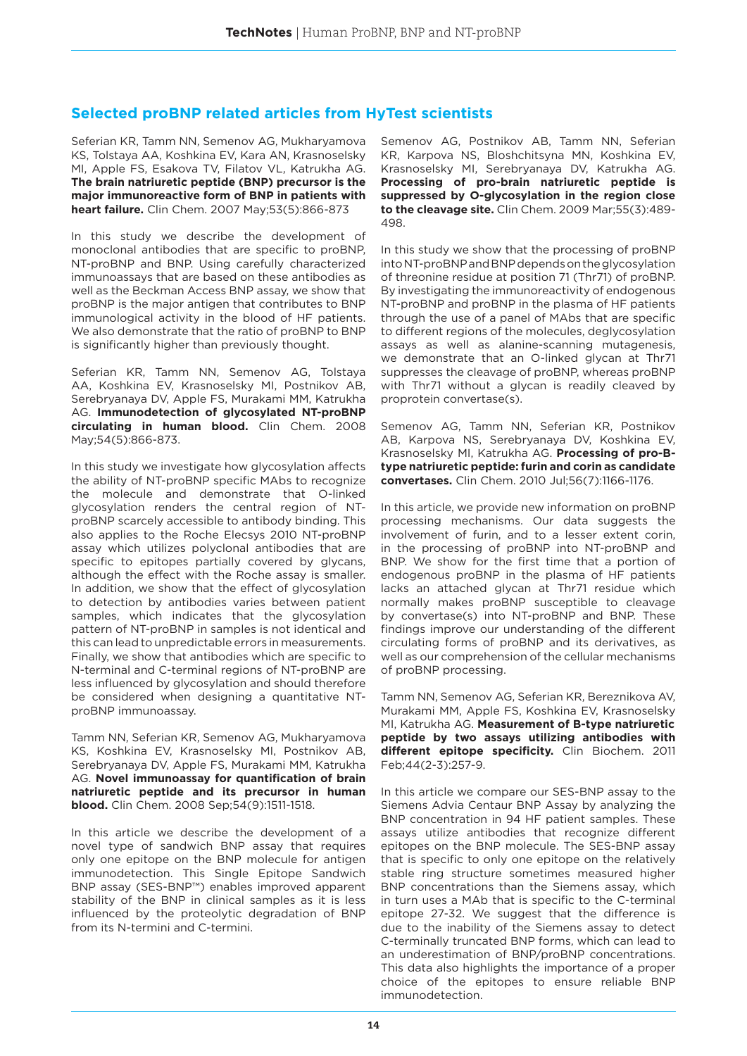## **Selected proBNP related articles from HyTest scientists**

Seferian KR, Tamm NN, Semenov AG, Mukharyamova KS, Tolstaya AA, Koshkina EV, Kara AN, Krasnoselsky MI, Apple FS, Esakova TV, Filatov VL, Katrukha AG. **The brain natriuretic peptide (BNP) precursor is the major immunoreactive form of BNP in patients with heart failure.** Clin Chem. 2007 May;53(5):866-873

In this study we describe the development of monoclonal antibodies that are specific to proBNP, NT-proBNP and BNP. Using carefully characterized immunoassays that are based on these antibodies as well as the Beckman Access BNP assay, we show that proBNP is the major antigen that contributes to BNP immunological activity in the blood of HF patients. We also demonstrate that the ratio of proBNP to BNP is significantly higher than previously thought.

Seferian KR, Tamm NN, Semenov AG, Tolstaya AA, Koshkina EV, Krasnoselsky MI, Postnikov AB, Serebryanaya DV, Apple FS, Murakami MM, Katrukha AG. **Immunodetection of glycosylated NT-proBNP circulating in human blood.** Clin Chem. 2008 May;54(5):866-873.

In this study we investigate how glycosylation affects the ability of NT-proBNP specific MAbs to recognize the molecule and demonstrate that O-linked glycosylation renders the central region of NTproBNP scarcely accessible to antibody binding. This also applies to the Roche Elecsys 2010 NT-proBNP assay which utilizes polyclonal antibodies that are specific to epitopes partially covered by glycans, although the effect with the Roche assay is smaller. In addition, we show that the effect of glycosylation to detection by antibodies varies between patient samples, which indicates that the glycosylation pattern of NT-proBNP in samples is not identical and this can lead to unpredictable errors in measurements. Finally, we show that antibodies which are specific to N-terminal and C-terminal regions of NT-proBNP are less influenced by glycosylation and should therefore be considered when designing a quantitative NTproBNP immunoassay.

Tamm NN, Seferian KR, Semenov AG, Mukharyamova KS, Koshkina EV, Krasnoselsky MI, Postnikov AB, Serebryanaya DV, Apple FS, Murakami MM, Katrukha AG. **Novel immunoassay for quantification of brain natriuretic peptide and its precursor in human blood.** Clin Chem. 2008 Sep;54(9):1511-1518.

In this article we describe the development of a novel type of sandwich BNP assay that requires only one epitope on the BNP molecule for antigen immunodetection. This Single Epitope Sandwich BNP assay (SES-BNP™) enables improved apparent stability of the BNP in clinical samples as it is less influenced by the proteolytic degradation of BNP from its N-termini and C-termini.

Semenov AG, Postnikov AB, Tamm NN, Seferian KR, Karpova NS, Bloshchitsyna MN, Koshkina EV, Krasnoselsky MI, Serebryanaya DV, Katrukha AG. **Processing of pro-brain natriuretic peptide is suppressed by O-glycosylation in the region close to the cleavage site.** Clin Chem. 2009 Mar;55(3):489- 498.

In this study we show that the processing of proBNP into NT-proBNP and BNP depends on the glycosylation of threonine residue at position 71 (Thr71) of proBNP. By investigating the immunoreactivity of endogenous NT-proBNP and proBNP in the plasma of HF patients through the use of a panel of MAbs that are specific to different regions of the molecules, deglycosylation assays as well as alanine-scanning mutagenesis, we demonstrate that an O-linked glycan at Thr71 suppresses the cleavage of proBNP, whereas proBNP with Thr71 without a glycan is readily cleaved by proprotein convertase(s).

Semenov AG, Tamm NN, Seferian KR, Postnikov AB, Karpova NS, Serebryanaya DV, Koshkina EV, Krasnoselsky MI, Katrukha AG. **Processing of pro-Btype natriuretic peptide: furin and corin as candidate convertases.** Clin Chem. 2010 Jul;56(7):1166-1176.

In this article, we provide new information on proBNP processing mechanisms. Our data suggests the involvement of furin, and to a lesser extent corin, in the processing of proBNP into NT-proBNP and BNP. We show for the first time that a portion of endogenous proBNP in the plasma of HF patients lacks an attached glycan at Thr71 residue which normally makes proBNP susceptible to cleavage by convertase(s) into NT-proBNP and BNP. These findings improve our understanding of the different circulating forms of proBNP and its derivatives, as well as our comprehension of the cellular mechanisms of proBNP processing.

Tamm NN, Semenov AG, Seferian KR, Bereznikova AV, Murakami MM, Apple FS, Koshkina EV, Krasnoselsky MI, Katrukha AG. **Measurement of B-type natriuretic peptide by two assays utilizing antibodies with different epitope specificity.** Clin Biochem. 2011 Feb;44(2-3):257-9.

In this article we compare our SES-BNP assay to the Siemens Advia Centaur BNP Assay by analyzing the BNP concentration in 94 HF patient samples. These assays utilize antibodies that recognize different epitopes on the BNP molecule. The SES-BNP assay that is specific to only one epitope on the relatively stable ring structure sometimes measured higher BNP concentrations than the Siemens assay, which in turn uses a MAb that is specific to the C-terminal epitope 27-32. We suggest that the difference is due to the inability of the Siemens assay to detect C-terminally truncated BNP forms, which can lead to an underestimation of BNP/proBNP concentrations. This data also highlights the importance of a proper choice of the epitopes to ensure reliable BNP immunodetection.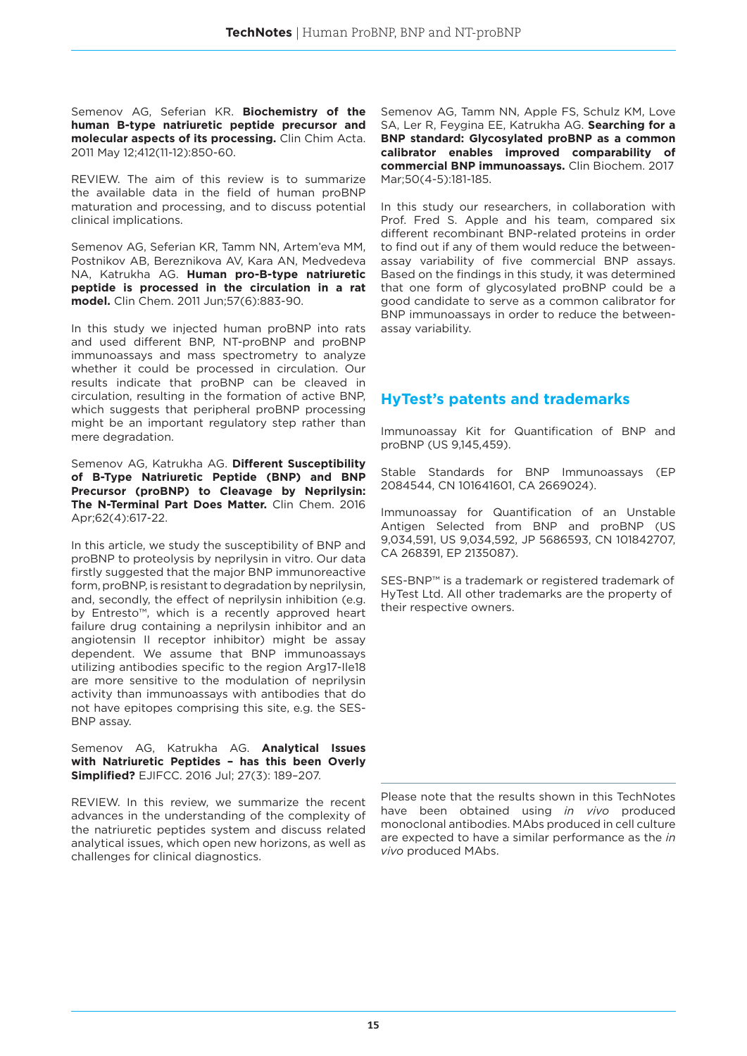Semenov AG, Seferian KR. **Biochemistry of the human B-type natriuretic peptide precursor and molecular aspects of its processing.** Clin Chim Acta. 2011 May 12;412(11-12):850-60.

REVIEW. The aim of this review is to summarize the available data in the field of human proBNP maturation and processing, and to discuss potential clinical implications.

Semenov AG, Seferian KR, Tamm NN, Artem'eva MM, Postnikov AB, Bereznikova AV, Kara AN, Medvedeva NA, Katrukha AG. **Human pro-B-type natriuretic peptide is processed in the circulation in a rat model.** Clin Chem. 2011 Jun;57(6):883-90.

In this study we injected human proBNP into rats and used different BNP, NT-proBNP and proBNP immunoassays and mass spectrometry to analyze whether it could be processed in circulation. Our results indicate that proBNP can be cleaved in circulation, resulting in the formation of active BNP, which suggests that peripheral proBNP processing might be an important regulatory step rather than mere degradation.

Semenov AG, Katrukha AG. **Different Susceptibility of B-Type Natriuretic Peptide (BNP) and BNP Precursor (proBNP) to Cleavage by Neprilysin: The N-Terminal Part Does Matter.** Clin Chem. 2016 Apr;62(4):617-22.

In this article, we study the susceptibility of BNP and proBNP to proteolysis by neprilysin in vitro. Our data firstly suggested that the major BNP immunoreactive form, proBNP, is resistant to degradation by neprilysin, and, secondly, the effect of neprilysin inhibition (e.g. by Entresto™, which is a recently approved heart failure drug containing a neprilysin inhibitor and an angiotensin II receptor inhibitor) might be assay dependent. We assume that BNP immunoassays utilizing antibodies specific to the region Arg17-Ile18 are more sensitive to the modulation of neprilysin activity than immunoassays with antibodies that do not have epitopes comprising this site, e.g. the SES-BNP assay.

Semenov AG, Katrukha AG. **Analytical Issues with Natriuretic Peptides – has this been Overly Simplified?** EJIFCC. 2016 Jul; 27(3): 189–207.

REVIEW. In this review, we summarize the recent advances in the understanding of the complexity of the natriuretic peptides system and discuss related analytical issues, which open new horizons, as well as challenges for clinical diagnostics.

Semenov AG, Tamm NN, Apple FS, Schulz KM, Love SA, Ler R, Feygina EE, Katrukha AG. **Searching for a BNP standard: Glycosylated proBNP as a common calibrator enables improved comparability of commercial BNP immunoassays.** Clin Biochem. 2017 Mar;50(4-5):181-185.

In this study our researchers, in collaboration with Prof. Fred S. Apple and his team, compared six different recombinant BNP-related proteins in order to find out if any of them would reduce the betweenassay variability of five commercial BNP assays. Based on the findings in this study, it was determined that one form of glycosylated proBNP could be a good candidate to serve as a common calibrator for BNP immunoassays in order to reduce the betweenassay variability.

## **HyTest's patents and trademarks**

Immunoassay Kit for Quantification of BNP and proBNP (US 9,145,459).

Stable Standards for BNP Immunoassays (EP 2084544, CN 101641601, CA 2669024).

Immunoassay for Quantification of an Unstable Antigen Selected from BNP and proBNP (US 9,034,591, US 9,034,592, JP 5686593, CN 101842707, CA 268391, EP 2135087).

SES-BNP™ is a trademark or registered trademark of HyTest Ltd. All other trademarks are the property of their respective owners.

Please note that the results shown in this TechNotes have been obtained using *in vivo* produced monoclonal antibodies. MAbs produced in cell culture are expected to have a similar performance as the *in vivo* produced MAbs.